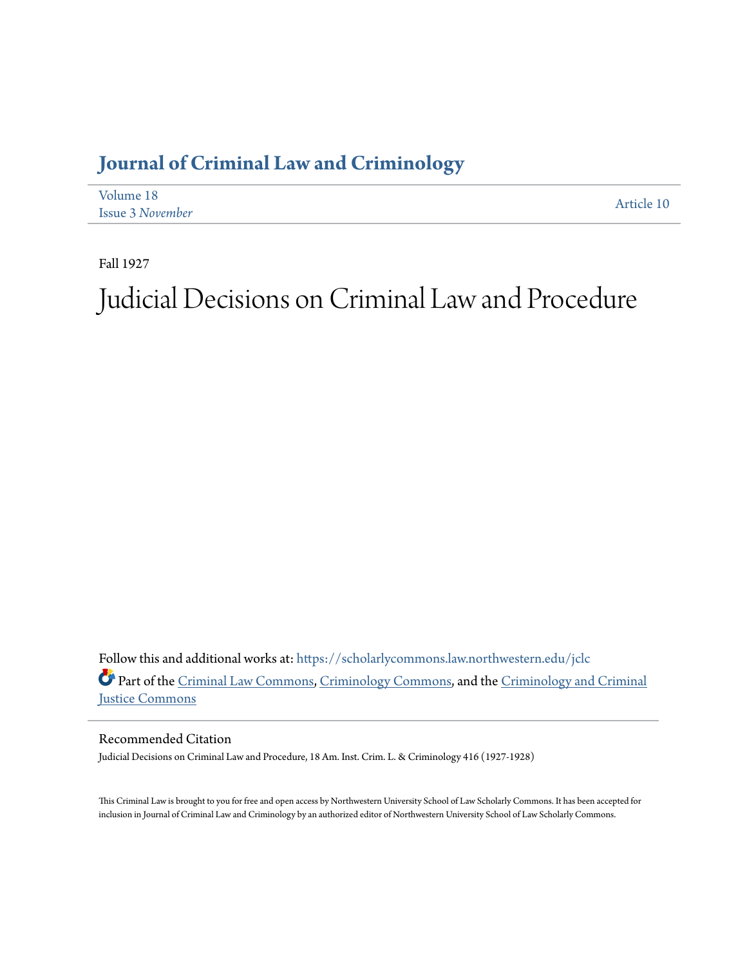## **[Journal of Criminal Law and Criminology](https://scholarlycommons.law.northwestern.edu/jclc?utm_source=scholarlycommons.law.northwestern.edu%2Fjclc%2Fvol18%2Fiss3%2F10&utm_medium=PDF&utm_campaign=PDFCoverPages)**

| Volume 18               | Article 10 |
|-------------------------|------------|
| <b>Issue 3 November</b> |            |

Fall 1927

# Judicial Decisions on Criminal Law and Procedure

Follow this and additional works at: [https://scholarlycommons.law.northwestern.edu/jclc](https://scholarlycommons.law.northwestern.edu/jclc?utm_source=scholarlycommons.law.northwestern.edu%2Fjclc%2Fvol18%2Fiss3%2F10&utm_medium=PDF&utm_campaign=PDFCoverPages) Part of the [Criminal Law Commons](http://network.bepress.com/hgg/discipline/912?utm_source=scholarlycommons.law.northwestern.edu%2Fjclc%2Fvol18%2Fiss3%2F10&utm_medium=PDF&utm_campaign=PDFCoverPages), [Criminology Commons](http://network.bepress.com/hgg/discipline/417?utm_source=scholarlycommons.law.northwestern.edu%2Fjclc%2Fvol18%2Fiss3%2F10&utm_medium=PDF&utm_campaign=PDFCoverPages), and the [Criminology and Criminal](http://network.bepress.com/hgg/discipline/367?utm_source=scholarlycommons.law.northwestern.edu%2Fjclc%2Fvol18%2Fiss3%2F10&utm_medium=PDF&utm_campaign=PDFCoverPages) [Justice Commons](http://network.bepress.com/hgg/discipline/367?utm_source=scholarlycommons.law.northwestern.edu%2Fjclc%2Fvol18%2Fiss3%2F10&utm_medium=PDF&utm_campaign=PDFCoverPages)

Recommended Citation

Judicial Decisions on Criminal Law and Procedure, 18 Am. Inst. Crim. L. & Criminology 416 (1927-1928)

This Criminal Law is brought to you for free and open access by Northwestern University School of Law Scholarly Commons. It has been accepted for inclusion in Journal of Criminal Law and Criminology by an authorized editor of Northwestern University School of Law Scholarly Commons.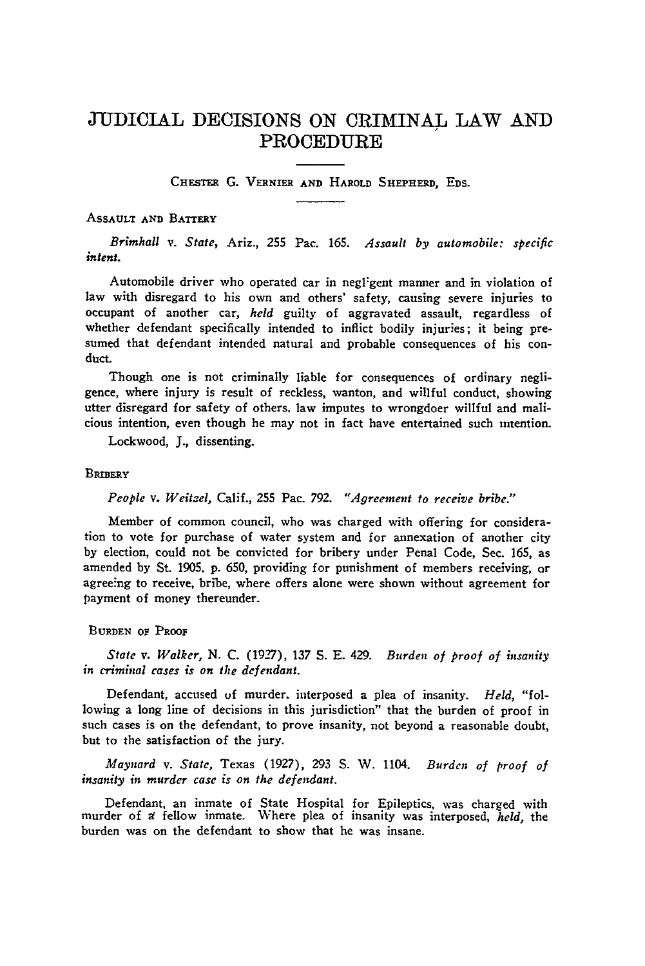### **JUDICIAL** DECISIONS **ON** CRIMINAL LAW **AND** PROCEDURE

**CHESTER** G. **VERNIER AND** HAROLD **SHEPHERD,** EDS.

#### **ASSAULT AND BATTERY**

*Brimhall v. State,* Ariz., **255** Pac. 165. *Assault by automobile: specific intent.*

Automobile driver who operated car in negligent manner and in violation of law with disregard to his own and others' safety, causing severe injuries to occupant of another car, *held* guilty of aggravated assault, regardless of whether defendant specifically intended to inflict bodily injuries; it being presumed that defendant intended natural and probable consequences of his con**duct.**

Though one is not criminally liable for consequences of ordinary negligence, where injury is result of reckless, wanton, and willful conduct, showing utter disregard for safety of others, law imputes to wrongdoer willful and malicious intention, even though he may not in fact have entertained such intention.

Lockwood, **J.,** dissenting.

#### **BRIBERY**

#### *People v. Weitzel,* Calif., 255 Pac. 792. *"Agreement to receive bribe."*

Member of common council, who was charged with offering for consideration to vote for purchase of water system and for annexation of another city by election, could not be convicted for bribery under Penal Code, Sec. 165, as amended by St. **1905,** p. 650, providing for punishment of members receiving, or agreeing to receive, bribe, where offers alone were shown without agreement for payment of money thereunder.

#### **BURDEN OF** PROOF

*State v. Walker,* **N. C. (19-7), 137 S. E.** 429. *Burden of proof of insanity in criminal cases is on the defendant.*

Defendant, accused **of** murder, interposed a plea of insanity. *Held,* "following a long line of decisions in this jurisdiction" that the burden of proof in such cases is on the defendant, to prove insanity, not beyond a reasonable doubt, but to the satisfaction of the jury.

*Maynard v. State,* Texas (1927), **293 S.** W. 1104. *Burden of proof of insanity in murder case is on the defendant.*

Defendant, an inmate of State Hospital for Epileptics, was charged with murder of **a** fellow inmate. Where plea of insanity was interposed, *held,* the burden was on the defendant to show that he was insane.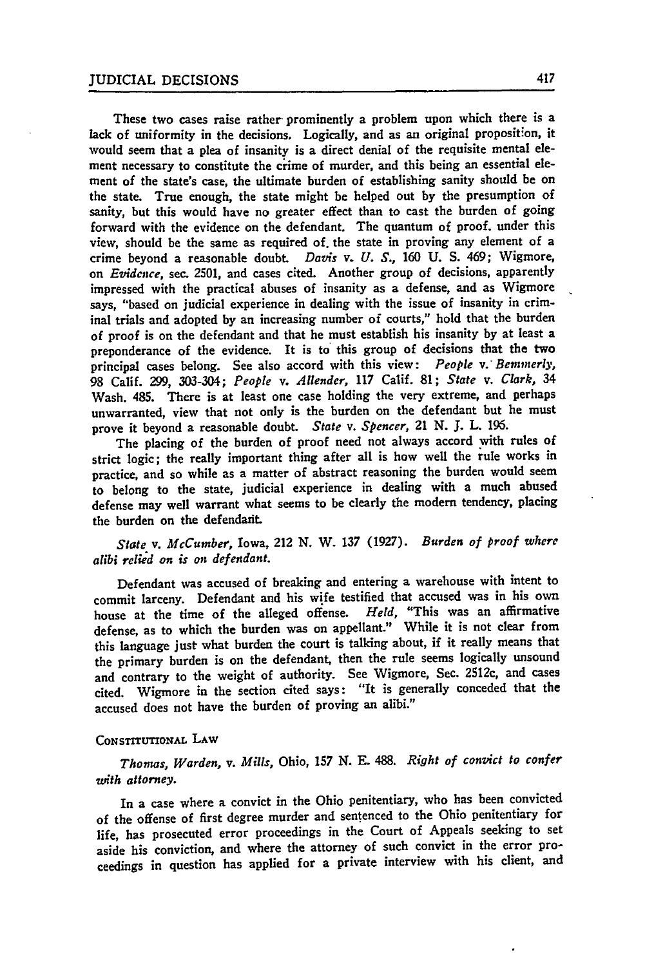These two cases raise rather prominently a problem upon which there is a lack of uniformity in the decisions. Logically, and as an original proposition, it would seem that a plea of insanity is a direct denial of the requisite mental element necessary to constitute the crime of murder, and this being an essential element of the state's case, the ultimate burden of establishing sanity should be on the state. True enough, the state might be helped out **by** the presumption **of** sanity, but this would have no greater effect than to cast the burden of going forward with the evidence on the defendant. The quantum of proof, under this view, should be the same as required of. the state in proving any element of a crime beyond a reasonable doubt *Davis* v. *U. S.,* **160 U. S.** 469; Wigmore, on *Evidence,* sec. 2501, and cases cited. Another group of decisions, apparently impressed with the practical abuses of insanity as a defense, and as Wigmore says, "based on judicial experience in dealing with the issue of insanity in criminal trials and adopted **by** an increasing number of courts," hold that the burden of proof is on the defendant and that he must establish his insanity **by** at least a preponderance of the evidence. It is to this group of decisions that the **two** principal cases belong. See also accord with this view: *People v. Bemmerly*, **98** Calif. **299,** 303-304; *People v. Allender,* **117** Calif. **81;** *State v. Clark, 34* Wash. 485. There is at least one case holding the very extreme, and perhaps unwarranted, view that not only is the burden on the defendant but he must prove it beyond a reasonable doubt. *State v. Spencer,* 21 **N. J.** L. **196.**

The placing of the burden of proof need not always accord with rules of strict logic; the really important thing after all is how well the rule works in practice, and so while as a matter of abstract reasoning the burden would seem to belong to the state, judicial experience in dealing with a much abused defense may well warrant what seems to be clearly the modern tendency, placing the burden on the defendarit.

*State v. McCumber,* Iowa, 212 **N.** W. **137 (1927).** *Burden of proof where alibi relied on is on defendant.*

Defendant was accused of breaking and entering a warehouse with intent to commit larceny. Defendant and his wife testified that accused was in his own house at the time of the alleged offense. Held, "This was an affirmative house at the time of the alleged offense. defense, as to which the burden was on appellant." While it is not clear from this language just what burden the court is talking about, if it really means that the primary burden is on the defendant, then the rule seems logically unsound and contrary to the weight of authority. See Wigmore, Sec. 2512c, and cases cited. Wigmore in the section cited says: "It is generally conceded that the accused does not have the burden of proving an alibi."

#### CONSTITUTIONAL LAW

*Thomas, Warden, v. Mills,* Ohio, **157 N. E. 488.** *Right of convict to confer* with attorney.

In a case where a convict in the Ohio penitentiary, who has been convicted of the offense of first degree murder and sentenced to the Ohio penitentiary for life, has prosecuted error proceedings in the Court of Appeals seeking to set aside his conviction, and where the attorney of such convict in the error proceedings in question has applied for a private interview with his client, and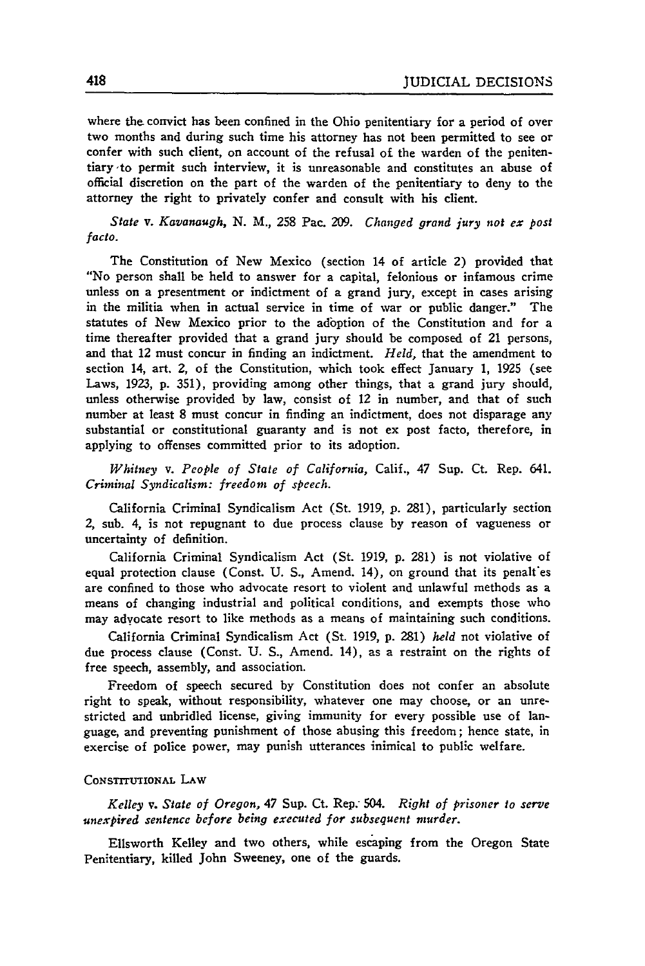where the convict has been confined in the Ohio penitentiary for a period of over two months and during such time his attorney has not been permitted to see or confer with such client, on account of the refusal of the warden of the penitentiary'to permit such interview, it is unreasonable and constitutes an abuse of official discretion on the part of the warden of the penitentiary to deny to the attorney the right to privately confer and consult with his client.

*State v. Kavanaugh,* **N.** M., 258 Pac. **209.** *Changed grand jury not ex post facto.*

The Constitution of New Mexico (section 14 of article 2) provided that "No person shall be held to answer for a capital, felonious or infamous crime unless on a presentment or indictment of a grand jury, except in cases arising in the militia when in actual service in time of war or public danger." The statutes of New Mexico prior to the adbption of the Constitution and for a time thereafter provided that a grand jury should be composed of 21 persons, and that 12 must concur in finding an indictment. *Held,* that the amendment to section 14, art. 2, of the Constitution, which took effect January 1, **1925** (see Laws, 1923, p. 351), providing among other things, that a grand jury should, unless otherwise provided **by** law, consist of 12 in number, and that of such number at least 8 must concur in finding an indictment, does not disparage any substantial or constitutional guaranty and is not ex post facto, therefore, in applying to offenses committed prior to its adoption.

*Whitney v. People of State of California,* Calif., 47 Sup. Ct. Rep. 641. *Criminal Syndicalism: freedom of speech.*

California Criminal Syndicalism Act (St. 1919, p. 281), particularly section *2,* sub. 4, is not repugnant to due process clause **by** reason of vagueness or uncertainty of definition.

California Criminal Syndicalism Act (St. 1919, p. 281) is not violative of equal protection clause (Const. U. S., Amend. 14), on ground that its penalt'es are confined to those who advocate resort to violent and unlawful methods as a means of changing industrial and political conditions, and exempts those who may advocate resort to like methods as a means of maintaining such conditions.

California Criminal Syndicalism Act (St. 1919, p. 281) *held* not violative of due process clause (Const. **U.** S., Amend. 14), as a restraint on the rights of free speech, assembly, and association.

Freedom of speech secured **by** Constitution does not confer an absolute right to speak, without responsibility, whatever one may choose, or an unrestricted and unbridled license, giving immunity for every possible use of language, and preventing punishment of those abusing this freedom; hence state, in exercise of police power, may punish utterances inimical to public welfare.

#### CONSTITUTIONAL LAW

*Kelley v. State of Oregon,* 47 Sup. Ct. Rep: 504. *Right of prisoner to serve unexpired sentence before being executed for subsequent murder.*

Ellsworth Kelley and two others, while escaping from the Oregon State Penitentiary, killed John Sweeney, one of the guards.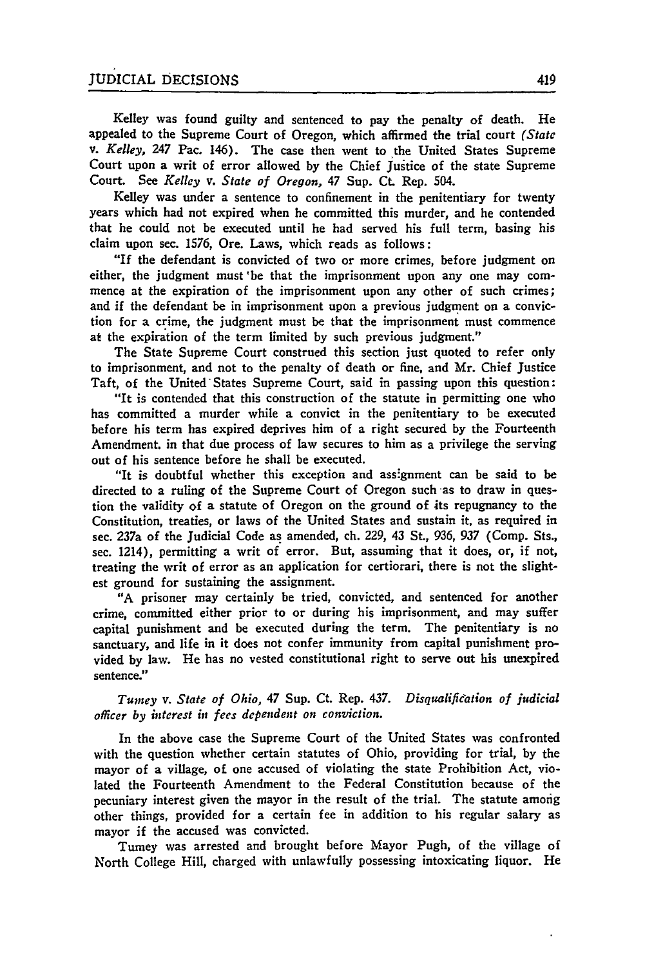Kelley was found guilty and sentenced to pay the penalty of death. He appealed to the Supreme Court of Oregon, which affirmed the trial court *(State v. Kelley,* 247 Pac. 146). The case then went to the United States Supreme Court upon a writ of error allowed by the Chief Justice of the state Supreme Court. See *Kelley v. State of Oregon,* 47 Sup. Ct. Rep. 504.

Kelley was under a sentence to confinement in the penitentiary for twenty years which had not expired when he committed this murder, and he contended that he could not be executed until he had served his full term, basing his claim upon sec. **1576,** Ore. Laws, which reads as follows:

"If the defendant is convicted of two or more crimes, before judgment on either, the judgment must'be that the imprisonment upon any one may commence at the expiration of the imprisonment upon any other of such crimes; and if the defendant be in imprisonment upon a previous judgment on a conviction for a crime, the judgment must be that the imprisonment must commence at the expiration of the term limited by such previous judgment."

The State Supreme Court construed this section just quoted to refer only to imprisonment, and not to the penalty of death or fine, and Mr. Chief Justice Taft, of the United'States Supreme Court, said in passing upon this question:

"It is contended that this construction of the statute in permitting one who has committed a murder while a convict in the penitentiary to be executed before his term has expired deprives him of a right secured **by** the Fourteenth Amendment. in that due process of law secures to him as a privilege the serving out of his sentence before he shall be executed.

"It is doubtful whether this exception and ass:gnment can be said to be directed to a ruling of the Supreme Court of Oregon such-as to draw in question the validity of a statute of Oregon on the ground of its repugnancy to the Constitution, treaties, or laws of the United States and sustain it, as required in sec. 237a of the Judicial Code as amended, ch. 229, 43 St., 936, **937** (Comp. Sts., sec. 1214), permitting a writ of error. But, assuming that it does, or, if not, treating the writ of error as an application for certiorari, there is not the slightest ground for sustaining the assignment.

"A prisoner may certainly be tried, convicted, and sentenced for another crime, committed either prior to or during his imprisonment, and may suffer capital punishment and be executed during the term. The penitentiary is no sanctuary, and life in it does not confer immunity from capital punishment provided **by** law. He has no vested constitutional right to serve out his unexpired sentence."

*Tumey v. State of Ohio,* 47 Sup. Ct. Rep. 437. *Disqualification of judicial officer by interest in fees dependent on conviction.*

In the above case the Supreme Court of the United States was confronted with the question whether certain statutes of Ohio, providing for trial, **by** the mayor of a village, of one accused of violating the state Prohibition Act, violated the Fourteenth Amendment to the Federal Constitution because of the pecuniary interest given the mayor in the result of the trial. The statute among other things, provided for a certain fee in addition to his regular salary as mayor if the accused was convicted.

Tumey was arrested and brought before Mayor Pugh, of the village of North College Hill, charged with unlawfully possessing intoxicating liquor. He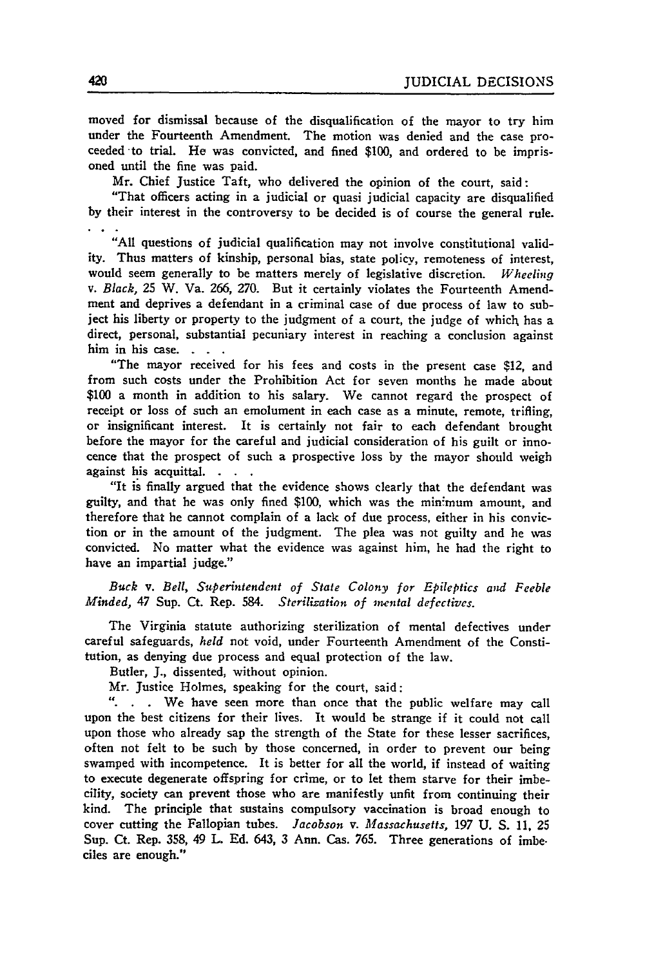moved for dismissal because of the disqualification of the mayor to try him under the Fourteenth Amendment. The motion was denied and the case proceeded to trial. He was convicted, and fined \$100, and ordered to be imprisoned until the fine was paid.

Mr. Chief Justice Taft, who delivered the opinion of the court, said:

"That officers acting in a judicial or quasi judicial capacity are disqualified by their interest in the controversy to be decided is of course the general rule.

"All questions of judicial qualification may not involve constitutional validity. Thus matters of kinship, personal bias, state policy, remoteness of interest, would seem generally to be matters merely of legislative discretion. *Wheeling v. Black,* 25 W. Va. 266, 270. But it certainly violates the Fourteenth Amendment and deprives a defendant in a criminal case of due process of law to subject his liberty or property to the judgment of a court, the judge of which has a direct, personal, substantial pecuniary interest in reaching a conclusion against him in his case. **. .**

"The mayor received for his fees and costs in the present case \$12, and from such costs under the Prohibition Act for seven months he made about \$100 a month in addition to his salary. We cannot regard the prospect of receipt or loss of such an emolument in each case as a minute, remote, trifling, or insignificant interest. It is certainly not fair to each defendant brought before the mayor for the careful and judicial consideration of his guilt or innocence that the prospect of such a prospective loss by the mayor should weigh against his acquittal. **.**

"It is finally argued that the evidence shows clearly that the defendant was guilty, and that he was only fined \$100, which was the minimum amount, and therefore that he cannot complain of a lack of due process, either in his conviction or in the amount of the judgment. The plea was not guilty and he was convicted. No matter what the evidence was against him, he had the right to have an impartial judge."

*Buck v. Bell, Superintendent of State Colony for Epileptics and Feeble Minded,* 47 Sup. Ct. Rep. 584. *Sterilization of mental defectives.*

The Virginia statute authorizing sterilization of mental defectives under careful safeguards, *held* not void, under Fourteenth Amendment of the Constitution, as denying due process and equal protection of the law.

Butler, J., dissented, without opinion.

Mr. Justice Holmes, speaking for the court, said:

". . . We have seen more than once that the public welfare may call upon the best citizens for their lives. It would be strange if it could not call upon those who already sap the strength of the State for these lesser sacrifices, often not felt to be such by those concerned, in order to prevent our being swamped with incompetence. It is better for all the world, if instead of waiting to execute degenerate offspring for crime, or to let them starve for their imbecility, society can prevent those who are manifestly unfit from continuing their kind. The principle that sustains compulsory vaccination is broad enough to cover cutting the Fallopian tubes. *Jacobson v. Massachusetts,* 197 U. **S.** 11, **25** Sup. Ct. Rep. **358,** 49 L. **Ed.** 643, **3** Ann. Cas. 765. Three generations of imbeciles are enough."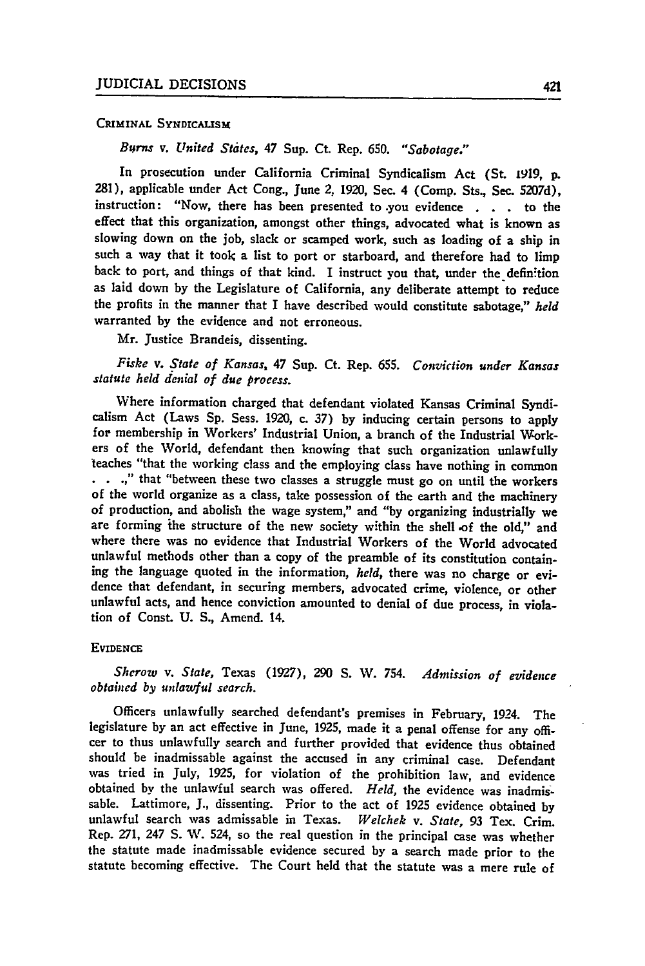#### **CRIMINAL SYNDICALISM**

*Bu~rns v. United States, 47* Sup. Ct. Rep. **650.** *"Sabotage."*

In prosecution under California Criminal Syndicalism Act (St. 1919, **p. 281),** applicable under Act Cong., June *2,* **1920,** Sec. 4 (Comp. Sts., Sec. **5207d),** instruction: "Now, there has been presented to .you evidence **.** . . to the effect that this organization, amongst other things, advocated what is known as slowing down on the job, slack or scamped work, such as loading of a ship in such a way that it took a list to port or starboard, and therefore had to limp back to port, and things of that kind. I instruct you that, under the definition as laid down by the Legislature of California, any deliberate attempt to reduce the profits in the manner that I have described would constitute sabotage," *held* warranted **by** the evidence and not erroneous.

Mr. Justice Brandeis, dissenting.

*Fiske v. State of Kansas,* 47 Sup. Ct. Rep. **655.** *Conviction under Kansas statute held denial of due process.*

Where information charged that defendant violated Kansas Criminal Syndicalism Act (Laws **Sp.** Sess. 1920, c. 37) by inducing certain persons to apply for membership in Workers' Industrial Union, a branch of the Industrial Work- ers of the World, defendant then knowing that such organization unlawfully teaches "that the working class and the employing class have nothing in common .," that "between these two classes a struggle must go on until the workers of the world organize as a class, take possession of the earth and the machinery of production, and abolish the wage system," and "by organizing industrially we are forming ihe structure of the new society within the shell -of the old," and where there was no evidence that Industrial Workers **of** the World advocated unlawful methods other than a copy of the preamble of its constitution containing the language quoted in the information, *held,* there was no charge or evidence that defendant, in securing members, advocated crime, violence, or other unlawful acts, and hence conviction amounted to denial of due process, in violation of Const. U. S., Amend. 14.

#### **EVIDENCE**

*Sherow v. State,* Texas (1927), **290 S.** *IV.* 754. *Admission of evidence obtained by unlawful search.*

Officers unlawfully searched defendant's premises in February, 1924. The legislature **by** an act effective in June, **1925,** made it a penal offense for any offi- cer to thus unlawfully search and further provided that evidence thus obtained should be inadmissable against the accused in any criminal case. Defendant was tried in July, 1925, for violation of the prohibition law, and evidence obtained by the unlawful search was offered. *Held,* the evidence was inadmissable. Lattimore, **J.,** dissenting. Prior to the act of **1925** evidence obtained by unlawful search was admissable in Texas. *Welchek v. State,* **93** Tex. Crim. Rep. 271, 247 **S.** W. 524, so the real question in the principal case was whether the statute made inadmissable evidence secured by a search made prior to the statute becoming effective. The Court held that the statute was a mere rule of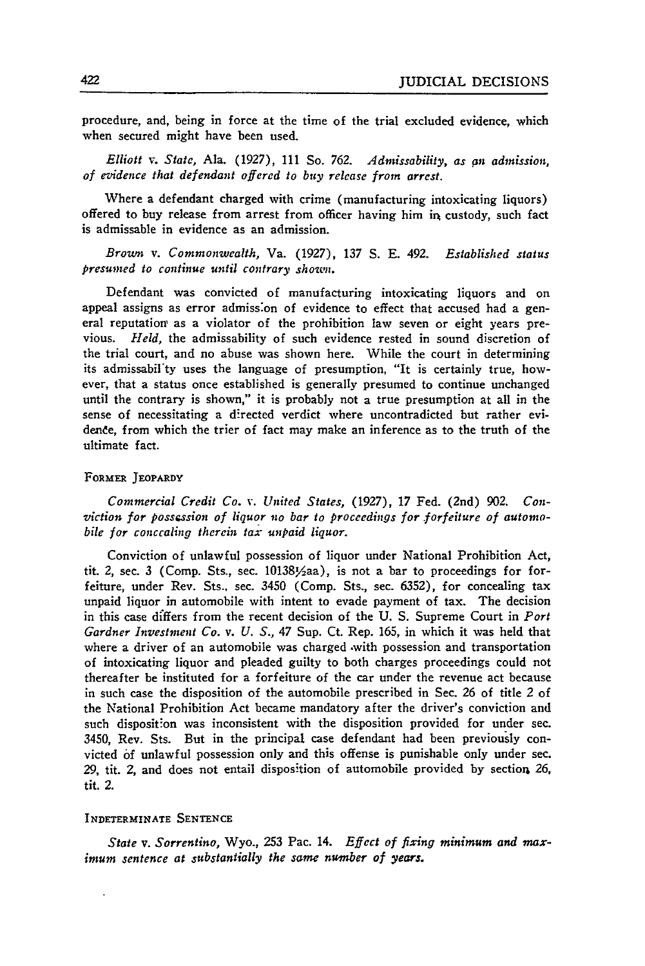procedure, and, being in force at the time of the trial excluded evidence, which when secured might have been used.

*Elliott v. State,* Ala. (1927), 111 So. **762.** *Admissability, as an admission, of evidence that defendant offered to buy release from arrest.*

Where a defendant charged with crime (manufacturing intoxicating liquors) offered to buy release from arrest from officer having him in custody, such fact is admissable in evidence as an admission.

*Broun v. Commonwealth,* Va. (1927), 137 S. E. 492. *Established status presumed to continue until contrary shown.*

Defendant was convicted of manufacturing intoxicating liquors and on appeal assigns as error admiss'on of evidence to effect that accused had a general reputation' as a violator of the prohibition law seven or eight years previous. *Held,* the admissability of such evidence rested in sound discretion of the trial court, and no abuse was shown here. While the court in determining its admissabil'ty uses the language of presumption, "It is certainly true, however, that a status once established is generally presumed to continue unchanged until the contrary is shown," it is probably not a true presumption at all in the sense of necessitating a directed verdict where uncontradicted but rather evidende, from which the trier of fact may make an inference as to the truth of the ultimate fact.

#### FORMER JEOPARDY

*Commercial Credit Co. v. United States,* (1927), **17** Fed. (2nd) 902. *Conviction for posscssion of liquor no bar to proceedings for forfeiture of automobile for conccaling therein tax unpaid liquor.*

Conviction of unlawful possession of liquor under National Prohibition Act, tit. 2, sec. 3 (Comp. Sts., sec. 101381/2aa), is not a bar to proceedings for forfeiture, under Rev. Sts., sec. 3450 (Comp. Sts., sec. 6352), for concealing tax unpaid liquor in automobile with intent to evade payment of tax. The decision in this case differs from the recent decision of the U. S. Supreme Court in *Port Gardner Investment Co. v. U. S.,* 47 Sup. Ct. Rep. 165, in which it was held that where a driver of an automobile was charged .with possession and transportation of intoxicating liquor and pleaded guilty to both charges proceedings could not thereafter be instituted for a forfeiture of the car under the revenue act because in such case the disposition of the automobile prescribed in Sec. 26 of title *2* of the National Prohibition Act became mandatory after the driver's conviction and such disposition was inconsistent with the disposition provided for under sec. 3450, Rev. Sts. But in the principal case defendant had been previously convicted **of** unlawful possession only and this offense is punishable only under sec. 29, tit. 2, and does not entail disposition of automobile provided by section 26, tit. 2.

#### INDETERMINATE SENTENCE

*State v. Sorrentino,* Wyo., **253** Pac. 14. *Effect of fixing minimum and max*imum *sentence at substantially the same numnber of years.*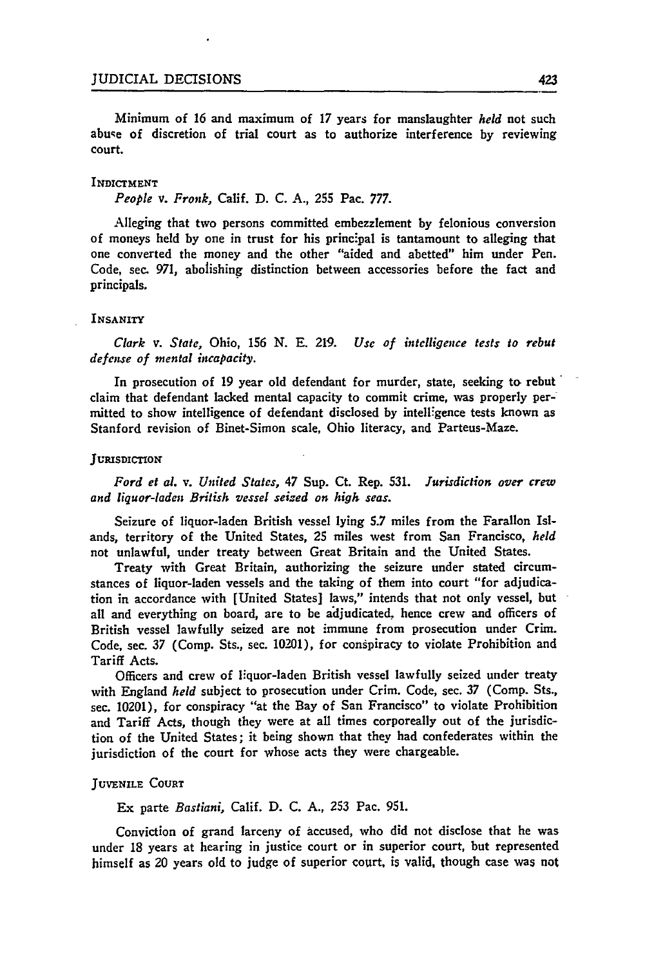Minimum of **16** and maximum of **17** years for manslaughter *held* not such abuse of discretion of trial court as to authorize interference **by** reviewing court.

#### **INDICTMENT**

*People v. Fronk,* Calif. **D. C. A., 255** Pac. **777.**

Alleging that two persons committed embezzlement **by** felonious conversion of moneys held **by** one in trust for his principal is tantamount to alleging that one converted the money and the other "aided and abetted" him under Pen. Code, sec. **971,** abolishing distinction between accessories before the fact and principals.

#### **INSANITY**

*Clark v. State,* Ohio, 156 **N. E. 219.** *Use of intelligence tests to rebut defense of mental incapacity.*

In prosecution of **19** year old defendant for murder, state, seeking to rebut claim that defendant lacked mental capacity to commit crime, was properly permitted to show intelligence of defendant disclosed **by** intelligence tests known as Stanford revision of Binet-Simon scale, Ohio literacy, and Parteus-Maze.

#### **JURISDICTION**

*Ford et al. v. United States,* 47 Sup. Ct. Rep. **531.** *Jurisdiction over crew and liquor-laden British vessel seized on high seas.*

Seizure of liquor-laden British vessel lying **5.7** miles from the Farallon Islands, territory of the United States, **25** miles west from San Francisco, *held* not unlawful, under treaty between Great Britain and the United States.

Treaty with Great Britain, authorizing the seizure under stated circumstances of liquor-laden vessels and the taking of them into court "for adjudication in accordance with [United States] laws," intends that not only vessel, but all and everything on board, are to be adjudicated, hence crew and officers of British vessel lawfully seized are not immune from prosecution under Crim. Code, sec. **37** (Comp. Sts., sec. 10201), for conspiracy to violate Prohibition and Tariff Acts.

Officers and crew of liquor-laden British vessel lawfully seized under treaty with England *held* subject to prosecution under Crim. Code, sec. **37** (Comp. Sts., sec. 10201), for conspiracy "at the Bay of San Francisco" to violate Prohibition and Tariff Acts, though they were at all times corporeally out of the jurisdiction of the United States; it being shown that they had confederates within the jurisdiction of the court for whose acts they were chargeable.

#### **JUVENILE COURT**

Ex parte *Bastiani,* Calif. **D. C. A., 253** Pac. **951.**

Conviction of grand larceny of accused, who did not disclose that he was under **18** years at hearing in justice court or in superior court, but represented himself as 20 years old to judge of superior court, is valid, though case was not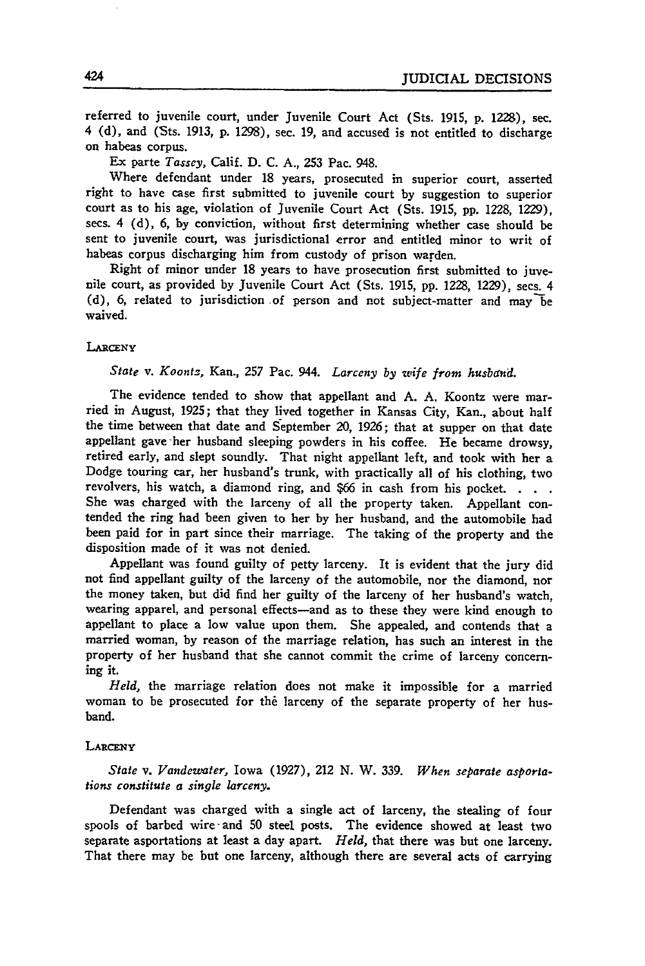referred to juvenile court, under Juvenile Court Act (Sts. 1915, p. 1228), sec. 4 (d), and (Sts. 1913, **p.** 1298), sec. 19, and accused is not entitled to discharge on habeas corpus.

Ex parte *Tassey,* Calif. D. C. A., **253** Pac. 948.

Where defendant under 18 years, prosecuted in superior court, asserted right to have case first submitted to juvenile court by suggestion to superior court as to his age, violation of Juvenile Court Act (Sts. 1915, pp. 1228, 1229), sees. 4 (d), 6, **by** conviction, without first determining whether case should be sent to juvenile court, was jurisdictional error and entitled minor to writ of habeas corpus discharging him from custody of prison warden.

Right of minor under 18 years to have prosecution first submitted to juvenile court, as provided by Juvenile Court Act (Sts. 1915, pp. 1228, 1229), sees. 4 (d), 6, related to jurisdiction of person and not subject-matter and may be waived.

#### **LARcENY**

#### *State v. Koontz,* Kan., **257** Pac. 944. *Larceny by wife from husband.*

The evidence tended to show that appellant and **A. A.** Koontz were mar- ried in August, **1925;** that they lived together in Kansas City, Kan., about half the time between that date and September 20, **1926;** that at supper on that date appellant gave -her husband sleeping powders in his coffee. He became drowsy, retired early, and slept soundly. That night appellant left, and took with her a Dodge touring car, her husband's trunk, with practically all of his clothing, two revolvers, his watch, a diamond ring, and **\$66** in cash from his pocket. **. .** She was charged with the larceny of all the property taken. Appellant contended the ring had been given to her by her husband, and the automobile had been paid for in part since their marriage. The taking of the property and the disposition made of it was not denied.

Appellant was found guilty of petty larceny. It is evident that the jury did not find appellant guilty of the larceny of the automobile, nor the diamond, nor the money taken, but did find her guilty of the larceny of her husband's watch, wearing apparel, and personal effects-and as to these they were kind enough to appellant to place a low value upon them. She appealed, and contends that a married woman, by reason of the marriage relation, has such an interest in the property of her husband that she cannot commit the crime of larceny concerning it.

*Held,* the marriage relation does not make it impossible for a married woman to be prosecuted for the larceny of the separate property of her husband.

#### **LARcENY**

*State v. Vandewater,* Iowa (1927), 212 N. W. 339. *When separate asporlations constitute a single larceny.*

Defendant was charged with a single act of larceny, the stealing of four spools of barbed wire and 50 steel posts. The evidence showed at least two separate asportations at least a day apart. *Held,* that there was but one larceny. That there may be but one larceny, although there are several acts of carrying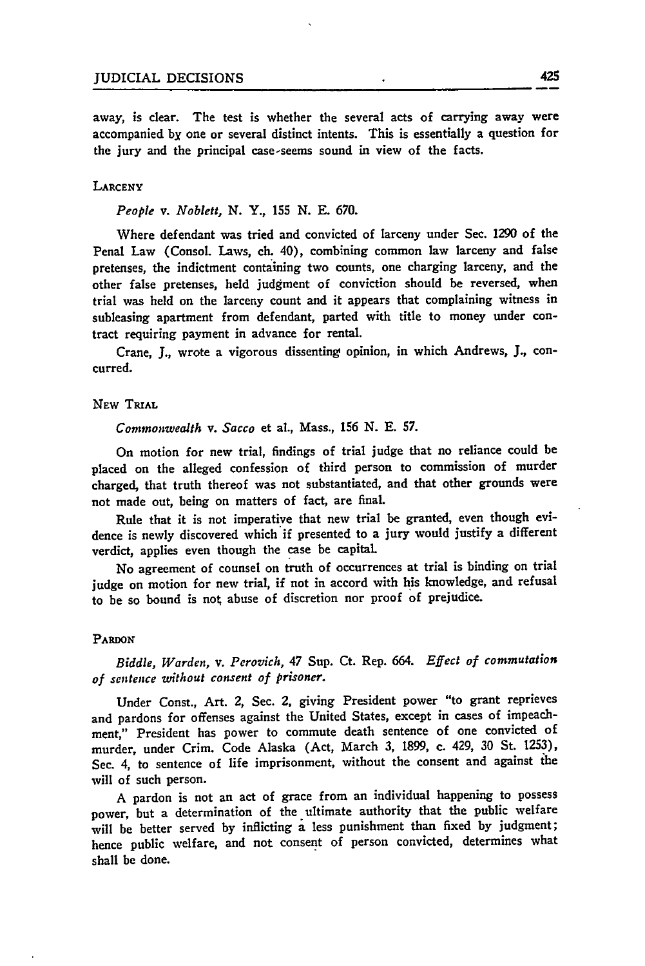away, is clear. The test is whether the several acts of carrying away were accompanied by one or several distinct intents. This is essentially a question for the jury and the principal case-seems sound in view of the facts.

#### **LARCENY**

*People v. Noblett,* **N.** Y., **155 N. E. 670.**

Where defendant was tried and convicted of larceny under Sec. **1290** of the Penal Law (Consol. Laws, ch. 40), combining common law larceny and false pretenses, the indictment containing two counts, one charging larceny, and the other false pretenses, held judgment of conviction should be reversed, when trial was held on the larceny count and it appears that complaining witness in subleasing apartment from defendant, parted with title to money under contract requiring payment in advance for rental.

Crane, **J.,** wrote a vigorous dissenting opinion, in which Andrews, **J.,** concurred.

#### **NEW TRIAL**

*Commonwealth v. Sacco* et al., Mass., **156 N. E. 57.**

On motion for new trial, findings of trial judge that no reliance could be placed on the alleged confession of third person to commission of murder charged, that truth thereof was not substantiated, and that other grounds were not made out, being on matters of fact, are final.

Rule that it is not imperative that new trial be granted, even though evidence is newly discovered which if presented to a jury would justify a different verdict, applies even though the case be capital

No agreement of counsel on truth of occurrences at trial is binding on trial judge on motion for new trial, if not in accord with his knowledge, and refusal to be so bound is not abuse of discretion nor proof of prejudice.

#### **PARDON**

*Biddle, Warden, v. Perovich,* 47 Sup. Ct. Rep. 664. *Effect of commutation of* sentence *without consent of prisoner.*

Under Const., Art. 2, Sec. 2, giving President power "to grant reprieves and pardons for offenses against the United States, except in cases of impeachment," President has power to commute death sentence of one convicted of murder, under Crim. Code Alaska (Act, March **3, 1899,** c. 429, **30** St. **1253),** Sec. 4, to sentence of life imprisonment, without the consent and against **the** will of such person.

**A** pardon is not an act of grace from an individual happening to possess power, but a determination of the ultimate authority that the public welfare will be better served **by** inflicting a less punishment than fixed **by** judgment; hence public welfare, and not consent of person convicted, determines what shall be done.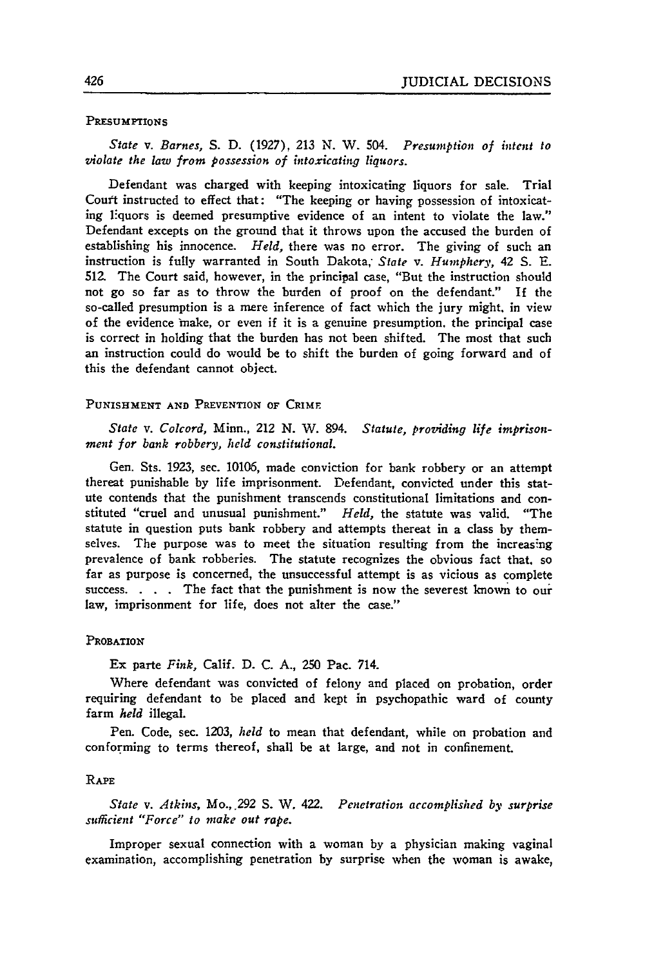#### PRESUMPTIONS

*State v. Barnes,* S. D. **(1927), 213 N.** W. 504. *Presumption of intent to violate the law from possession of intoxicating liquors.*

Defendant was charged with keeping intoxicating liquors for sale. Trial Court instructed to effect that: "The keeping or having possession of intoxicating liquors is deemed presumptive evidence of an intent to violate the law." Defendant excepts on the ground that it throws upon the accused the burden of establishing his innocence. *Held,* there was no error. The giving of such an instruction is fully warranted in South Dakota, *State v. Humphery,* 42 **S. E.** 512. The Court said, however, in the principal case, "But the instruction should not go so **far** as to throw the burden of proof on the defendant." If the so-called presumption is a mere inference of fact which the jury might, in view of the evidence make, or even if it is a genuine presumption, the principal case is correct in holding that the burden has not been shifted. The most that such an instruction could do would be to shift the burden of going forward and of this the defendant cannot object.

#### **PUNISHMENT AND** PREVENTION OF CRIME

*State v. Colcord,* Minn., 212 **N.** W. 894. *Statute, providing life imprisonment for bank robbery, held constitutional.*

Gen. Sts. 1923, sec. 10106, made conviction for bank robbery or an attempt thereat punishable by life imprisonment. Defendant, convicted under this statute contends that the punishment transcends constitutional limitations and constituted "cruel and unusual punishment." *Held,* the statute was valid. "The statute in question puts bank robbery and attempts thereat in a class by themselves. The purpose was to meet the situation resulting from the increasing prevalence of bank robberies. The statute recognizes the obvious fact that, so far as purpose is concerned, the unsuccessful attempt is as vicious as complete success. . **.** . The fact that the punishment is now the severest known to our law, imprisonment for life, does not alter the case."

#### **PROBATION**

Ex parte *Fink,* Calif. D. **C. A., 250** Pac. 714.

Where defendant was convicted of felony and placed on probation, order requiring defendant to be placed and kept in psychopathic ward of county farm *held* illegal.

Pen. Code, sec. 1203, *held* to mean that defendant, while on probation and conforming to terms thereof, shall be at large, and not in confinement.

#### RAPE

*State v. Atkins, Mo., .292* S. W. 422. *Penetration accomplished by surprise sufficient "Force" to make out rape.*

Improper sexual connection with a woman by a physician making vaginal examination, accomplishing penetration by surprise when the woman is awake,